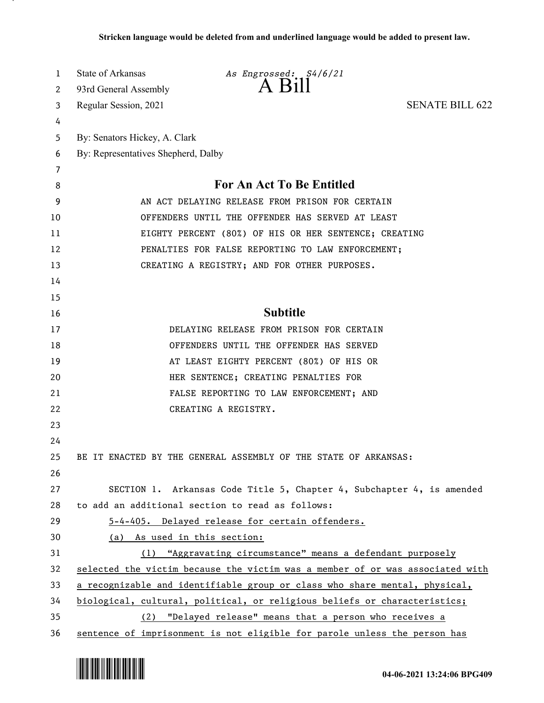| 1      | State of Arkansas                                                             | As Engrossed: S4/6/21                                                 |                        |
|--------|-------------------------------------------------------------------------------|-----------------------------------------------------------------------|------------------------|
| 2      | 93rd General Assembly                                                         |                                                                       |                        |
| 3      | Regular Session, 2021                                                         |                                                                       | <b>SENATE BILL 622</b> |
| 4      |                                                                               |                                                                       |                        |
| 5      | By: Senators Hickey, A. Clark                                                 |                                                                       |                        |
| 6      | By: Representatives Shepherd, Dalby                                           |                                                                       |                        |
| 7<br>8 | For An Act To Be Entitled                                                     |                                                                       |                        |
| 9      | AN ACT DELAYING RELEASE FROM PRISON FOR CERTAIN                               |                                                                       |                        |
| 10     | OFFENDERS UNTIL THE OFFENDER HAS SERVED AT LEAST                              |                                                                       |                        |
| 11     | EIGHTY PERCENT (80%) OF HIS OR HER SENTENCE; CREATING                         |                                                                       |                        |
| 12     | PENALTIES FOR FALSE REPORTING TO LAW ENFORCEMENT;                             |                                                                       |                        |
| 13     | CREATING A REGISTRY; AND FOR OTHER PURPOSES.                                  |                                                                       |                        |
| 14     |                                                                               |                                                                       |                        |
| 15     |                                                                               |                                                                       |                        |
| 16     |                                                                               | <b>Subtitle</b>                                                       |                        |
| 17     |                                                                               | DELAYING RELEASE FROM PRISON FOR CERTAIN                              |                        |
| 18     |                                                                               | OFFENDERS UNTIL THE OFFENDER HAS SERVED                               |                        |
| 19     |                                                                               | AT LEAST EIGHTY PERCENT (80%) OF HIS OR                               |                        |
| 20     |                                                                               | HER SENTENCE; CREATING PENALTIES FOR                                  |                        |
| 21     |                                                                               | FALSE REPORTING TO LAW ENFORCEMENT; AND                               |                        |
| 22     | CREATING A REGISTRY.                                                          |                                                                       |                        |
| 23     |                                                                               |                                                                       |                        |
| 24     |                                                                               |                                                                       |                        |
| 25     |                                                                               | BE IT ENACTED BY THE GENERAL ASSEMBLY OF THE STATE OF ARKANSAS:       |                        |
| 26     |                                                                               |                                                                       |                        |
| 27     |                                                                               | SECTION 1. Arkansas Code Title 5, Chapter 4, Subchapter 4, is amended |                        |
| 28     | to add an additional section to read as follows:                              |                                                                       |                        |
| 29     | 5-4-405. Delayed release for certain offenders.                               |                                                                       |                        |
| 30     | (a) As used in this section:                                                  |                                                                       |                        |
| 31     |                                                                               | (1) "Aggravating circumstance" means a defendant purposely            |                        |
| 32     | selected the victim because the victim was a member of or was associated with |                                                                       |                        |
| 33     | a recognizable and identifiable group or class who share mental, physical,    |                                                                       |                        |
| 34     | biological, cultural, political, or religious beliefs or characteristics;     |                                                                       |                        |
| 35     | (2) "Delayed release" means that a person who receives a                      |                                                                       |                        |
| 36     | sentence of imprisonment is not eligible for parole unless the person has     |                                                                       |                        |

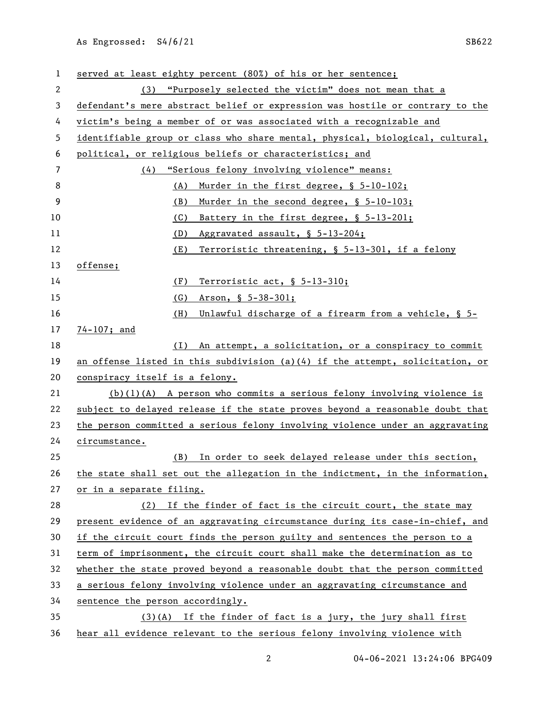served at least eighty percent (80%) of his or her sentence; (3) "Purposely selected the victim" does not mean that a defendant's mere abstract belief or expression was hostile or contrary to the victim's being a member of or was associated with a recognizable and identifiable group or class who share mental, physical, biological, cultural, political, or religious beliefs or characteristics; and (4) "Serious felony involving violence" means: 8 (A) Murder in the first degree, § 5-10-102; (B) Murder in the second degree, § 5-10-103; (C) Battery in the first degree, § 5-13-201; (D) Aggravated assault, § 5-13-204; (E) Terroristic threatening, § 5-13-301, if a felony offense; (F) Terroristic act, § 5-13-310; (G) Arson, § 5-38-301; (H) Unlawful discharge of a firearm from a vehicle, § 5- 74-107; and (I) An attempt, a solicitation, or a conspiracy to commit an offense listed in this subdivision (a)(4) if the attempt, solicitation, or conspiracy itself is a felony. (b)(1)(A) A person who commits a serious felony involving violence is subject to delayed release if the state proves beyond a reasonable doubt that 23 the person committed a serious felony involving violence under an aggravating circumstance. (B) In order to seek delayed release under this section, the state shall set out the allegation in the indictment, in the information, or in a separate filing. (2) If the finder of fact is the circuit court, the state may present evidence of an aggravating circumstance during its case-in-chief, and if the circuit court finds the person guilty and sentences the person to a term of imprisonment, the circuit court shall make the determination as to whether the state proved beyond a reasonable doubt that the person committed a serious felony involving violence under an aggravating circumstance and sentence the person accordingly. (3)(A) If the finder of fact is a jury, the jury shall first hear all evidence relevant to the serious felony involving violence with

04-06-2021 13:24:06 BPG409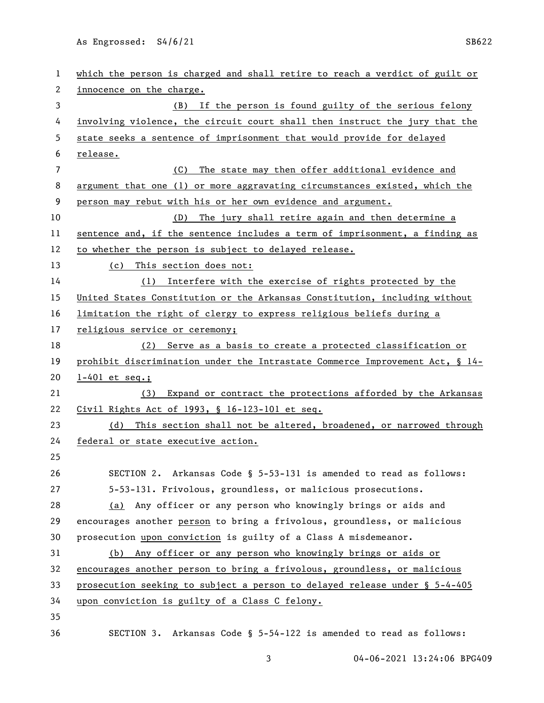| 1              | which the person is charged and shall retire to reach a verdict of guilt or  |  |  |
|----------------|------------------------------------------------------------------------------|--|--|
| 2              | innocence on the charge.                                                     |  |  |
| 3              | If the person is found guilty of the serious felony<br>(B)                   |  |  |
| 4              | involving violence, the circuit court shall then instruct the jury that the  |  |  |
| 5              | state seeks a sentence of imprisonment that would provide for delayed        |  |  |
| 6              | release.                                                                     |  |  |
| $\overline{7}$ | The state may then offer additional evidence and<br>(C)                      |  |  |
| 8              | argument that one (1) or more aggravating circumstances existed, which the   |  |  |
| 9              | person may rebut with his or her own evidence and argument.                  |  |  |
| 10             | The jury shall retire again and then determine a<br>(D)                      |  |  |
| 11             | sentence and, if the sentence includes a term of imprisonment, a finding as  |  |  |
| 12             | to whether the person is subject to delayed release.                         |  |  |
| 13             | (c)<br>This section does not:                                                |  |  |
| 14             | (1) Interfere with the exercise of rights protected by the                   |  |  |
| 15             | United States Constitution or the Arkansas Constitution, including without   |  |  |
| 16             | limitation the right of clergy to express religious beliefs during a         |  |  |
| 17             | religious service or ceremony;                                               |  |  |
| 18             | (2) Serve as a basis to create a protected classification or                 |  |  |
| 19             | prohibit discrimination under the Intrastate Commerce Improvement Act, § 14- |  |  |
| 20             | $1-401$ et seq.;                                                             |  |  |
| 21             | Expand or contract the protections afforded by the Arkansas<br>(3)           |  |  |
| 22             | Civil Rights Act of 1993, § 16-123-101 et seq.                               |  |  |
| 23             | (d) This section shall not be altered, broadened, or narrowed through        |  |  |
| 24             | federal or state executive action.                                           |  |  |
| 25             |                                                                              |  |  |
| 26             | SECTION 2. Arkansas Code § 5-53-131 is amended to read as follows:           |  |  |
| 27             | 5-53-131. Frivolous, groundless, or malicious prosecutions.                  |  |  |
| 28             | Any officer or any person who knowingly brings or aids and<br>(a)            |  |  |
| 29             | encourages another person to bring a frivolous, groundless, or malicious     |  |  |
| 30             | prosecution upon conviction is guilty of a Class A misdemeanor.              |  |  |
| 31             | (b) Any officer or any person who knowingly brings or aids or                |  |  |
| 32             | encourages another person to bring a frivolous, groundless, or malicious     |  |  |
| 33             | prosecution seeking to subject a person to delayed release under § 5-4-405   |  |  |
| 34             | upon conviction is guilty of a Class C felony.                               |  |  |
| 35             |                                                                              |  |  |
| 36             | SECTION 3. Arkansas Code § 5-54-122 is amended to read as follows:           |  |  |

3 04-06-2021 13:24:06 BPG409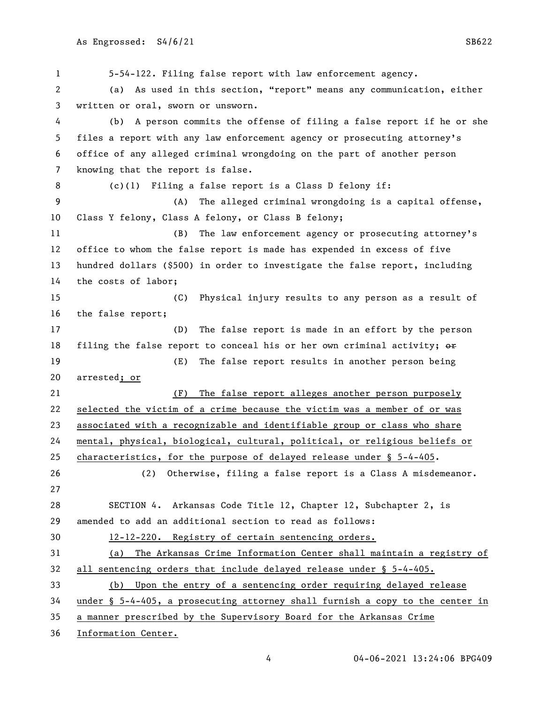5-54-122. Filing false report with law enforcement agency. (a) As used in this section, "report" means any communication, either written or oral, sworn or unsworn. (b) A person commits the offense of filing a false report if he or she files a report with any law enforcement agency or prosecuting attorney's office of any alleged criminal wrongdoing on the part of another person knowing that the report is false. (c)(1) Filing a false report is a Class D felony if: (A) The alleged criminal wrongdoing is a capital offense, Class Y felony, Class A felony, or Class B felony; (B) The law enforcement agency or prosecuting attorney's office to whom the false report is made has expended in excess of five hundred dollars (\$500) in order to investigate the false report, including the costs of labor; (C) Physical injury results to any person as a result of the false report; (D) The false report is made in an effort by the person 18 filing the false report to conceal his or her own criminal activity;  $\Theta$ ff (E) The false report results in another person being arrested; or (F) The false report alleges another person purposely selected the victim of a crime because the victim was a member of or was associated with a recognizable and identifiable group or class who share mental, physical, biological, cultural, political, or religious beliefs or characteristics, for the purpose of delayed release under § 5-4-405. (2) Otherwise, filing a false report is a Class A misdemeanor. SECTION 4. Arkansas Code Title 12, Chapter 12, Subchapter 2, is amended to add an additional section to read as follows: 12-12-220. Registry of certain sentencing orders. (a) The Arkansas Crime Information Center shall maintain a registry of all sentencing orders that include delayed release under § 5-4-405. (b) Upon the entry of a sentencing order requiring delayed release under § 5-4-405, a prosecuting attorney shall furnish a copy to the center in a manner prescribed by the Supervisory Board for the Arkansas Crime Information Center.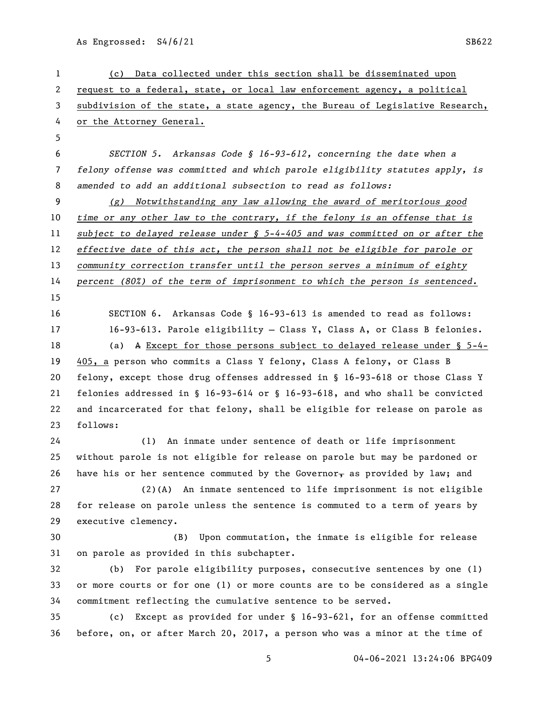04-06-2021 13:24:06 BPG409 (c) Data collected under this section shall be disseminated upon request to a federal, state, or local law enforcement agency, a political subdivision of the state, a state agency, the Bureau of Legislative Research, or the Attorney General. *SECTION 5. Arkansas Code § 16-93-612, concerning the date when a felony offense was committed and which parole eligibility statutes apply, is amended to add an additional subsection to read as follows: (g) Notwithstanding any law allowing the award of meritorious good time or any other law to the contrary, if the felony is an offense that is subject to delayed release under § 5-4-405 and was committed on or after the effective date of this act, the person shall not be eligible for parole or community correction transfer until the person serves a minimum of eighty percent (80%) of the term of imprisonment to which the person is sentenced.* SECTION 6. Arkansas Code § 16-93-613 is amended to read as follows: 16-93-613. Parole eligibility — Class Y, Class A, or Class B felonies. (a) A Except for those persons subject to delayed release under § 5-4- 405, a person who commits a Class Y felony, Class A felony, or Class B felony, except those drug offenses addressed in § 16-93-618 or those Class Y felonies addressed in § 16-93-614 or § 16-93-618, and who shall be convicted and incarcerated for that felony, shall be eligible for release on parole as follows: (1) An inmate under sentence of death or life imprisonment without parole is not eligible for release on parole but may be pardoned or 26 have his or her sentence commuted by the Governor $_{\rm T}$  as provided by law; and (2)(A) An inmate sentenced to life imprisonment is not eligible for release on parole unless the sentence is commuted to a term of years by executive clemency. (B) Upon commutation, the inmate is eligible for release on parole as provided in this subchapter. (b) For parole eligibility purposes, consecutive sentences by one (1) or more courts or for one (1) or more counts are to be considered as a single commitment reflecting the cumulative sentence to be served. (c) Except as provided for under § 16-93-621, for an offense committed before, on, or after March 20, 2017, a person who was a minor at the time of